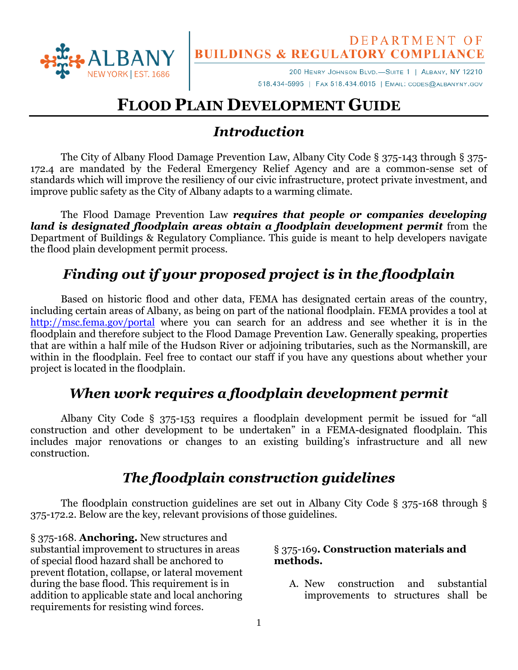

# DEPARTMENT OF<br>BUILDINGS & REGULATORY COMPLIANCE

200 HENRY JOHNSON BLVD.-SUITE 1 | ALBANY, NY 12210 518.434-5995 | FAX 518.434.6015 | EMAIL: CODES@ALBANYNY.GOV

# **FLOOD PLAIN DEVELOPMENT GUIDE**

## *Introduction*

The City of Albany Flood Damage Prevention Law, Albany City Code § 375-143 through § 375- 172.4 are mandated by the Federal Emergency Relief Agency and are a common-sense set of standards which will improve the resiliency of our civic infrastructure, protect private investment, and improve public safety as the City of Albany adapts to a warming climate.

The Flood Damage Prevention Law *requires that people or companies developing land is designated floodplain areas obtain a floodplain development permit* from the Department of Buildings & Regulatory Compliance. This guide is meant to help developers navigate the flood plain development permit process.

# *Finding out if your proposed project is in the floodplain*

Based on historic flood and other data, FEMA has designated certain areas of the country, including certain areas of Albany, as being on part of the national floodplain. FEMA provides a tool at <http://msc.fema.gov/portal> where you can search for an address and see whether it is in the floodplain and therefore subject to the Flood Damage Prevention Law. Generally speaking, properties that are within a half mile of the Hudson River or adjoining tributaries, such as the Normanskill, are within in the floodplain. Feel free to contact our staff if you have any questions about whether your project is located in the floodplain.

## *When work requires a floodplain development permit*

Albany City Code § 375-153 requires a floodplain development permit be issued for "all construction and other development to be undertaken" in a FEMA-designated floodplain. This includes major renovations or changes to an existing building's infrastructure and all new construction.

## *The floodplain construction guidelines*

The floodplain construction guidelines are set out in Albany City Code § 375-168 through § 375-172.2. Below are the key, relevant provisions of those guidelines.

§ 375-168. **Anchoring.** New structures and substantial improvement to structures in areas of special flood hazard shall be anchored to prevent flotation, collapse, or lateral movement during the base flood. This requirement is in addition to applicable state and local anchoring requirements for resisting wind forces.

#### § 375-169**. Construction materials and methods.**

A. New construction and substantial improvements to structures shall be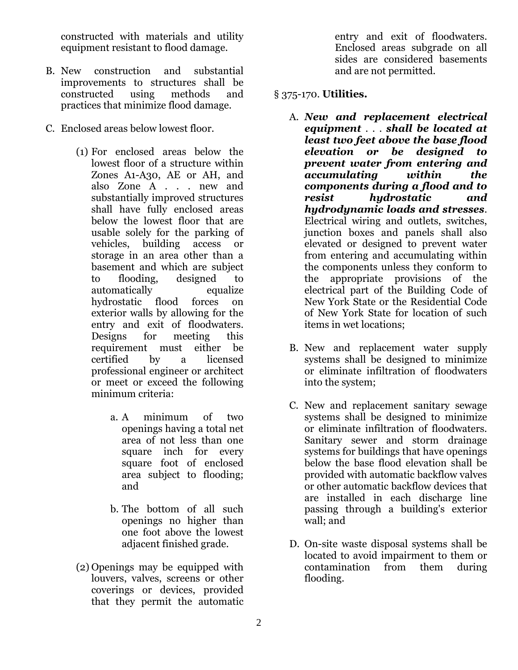constructed with materials and utility equipment resistant to flood damage.

- B. New construction and substantial improvements to structures shall be constructed using methods and practices that minimize flood damage.
- C. Enclosed areas below lowest floor.
	- (1) For enclosed areas below the lowest floor of a structure within Zones A1-A30, AE or AH, and also Zone A . . . new and substantially improved structures shall have fully enclosed areas below the lowest floor that are usable solely for the parking of vehicles, building access or storage in an area other than a basement and which are subject to flooding, designed to automatically equalize hydrostatic flood forces on exterior walls by allowing for the entry and exit of floodwaters. Designs for meeting this requirement must either be certified by a licensed professional engineer or architect or meet or exceed the following minimum criteria:
		- a. A minimum of two openings having a total net area of not less than one square inch for every square foot of enclosed area subject to flooding; and
		- b. The bottom of all such openings no higher than one foot above the lowest adjacent finished grade.
	- (2) Openings may be equipped with louvers, valves, screens or other coverings or devices, provided that they permit the automatic

entry and exit of floodwaters. Enclosed areas subgrade on all sides are considered basements and are not permitted.

#### § 375-170. **Utilities.**

- A. *New and replacement electrical equipment* . . . *shall be located at least two feet above the base flood elevation or be designed to prevent water from entering and accumulating within the components during a flood and to resist hydrostatic and hydrodynamic loads and stresses*. Electrical wiring and outlets, switches, junction boxes and panels shall also elevated or designed to prevent water from entering and accumulating within the components unless they conform to the appropriate provisions of the electrical part of the Building Code of New York State or the Residential Code of New York State for location of such items in wet locations;
- B. New and replacement water supply systems shall be designed to minimize or eliminate infiltration of floodwaters into the system;
- C. New and replacement sanitary sewage systems shall be designed to minimize or eliminate infiltration of floodwaters. Sanitary sewer and storm drainage systems for buildings that have openings below the base flood elevation shall be provided with automatic backflow valves or other automatic backflow devices that are installed in each discharge line passing through a building's exterior wall; and
- D. On-site waste disposal systems shall be located to avoid impairment to them or contamination from them during flooding.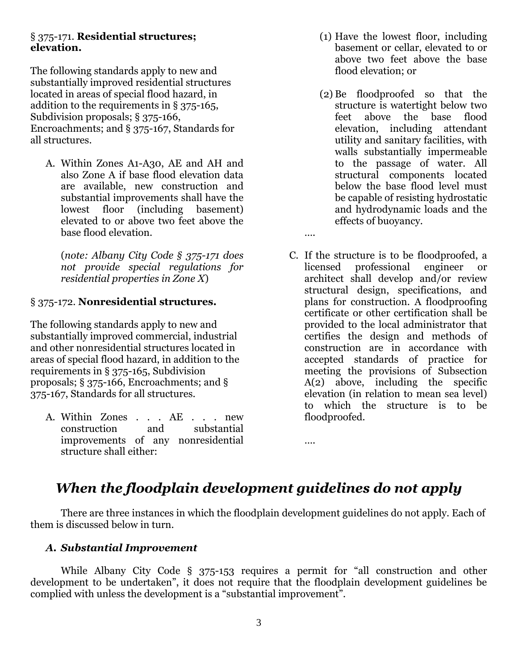#### § 375-171. **Residential structures; elevation.**

The following standards apply to new and substantially improved residential structures located in areas of special flood hazard, in addition to the requirements in § 375-165, Subdivision proposals; § 375-166, Encroachments; and § 375-167, Standards for all structures.

A. Within Zones A1-A30, AE and AH and also Zone A if base flood elevation data are available, new construction and substantial improvements shall have the lowest floor (including basement) elevated to or above two feet above the base flood elevation.

(*note: Albany City Code § 375-171 does not provide special regulations for residential properties in Zone X*)

#### § 375-172. **Nonresidential structures.**

The following standards apply to new and substantially improved commercial, industrial and other nonresidential structures located in areas of special flood hazard, in addition to the requirements in § 375-165, Subdivision proposals; § 375-166, Encroachments; and § 375-167, Standards for all structures.

A. Within Zones . . . AE . . . new construction and substantial improvements of any nonresidential structure shall either:

- (1) Have the lowest floor, including basement or cellar, elevated to or above two feet above the base flood elevation; or
- (2) Be floodproofed so that the structure is watertight below two feet above the base flood elevation, including attendant utility and sanitary facilities, with walls substantially impermeable to the passage of water. All structural components located below the base flood level must be capable of resisting hydrostatic and hydrodynamic loads and the effects of buoyancy.
- C. If the structure is to be floodproofed, a licensed professional engineer or architect shall develop and/or review structural design, specifications, and plans for construction. A floodproofing certificate or other certification shall be provided to the local administrator that certifies the design and methods of construction are in accordance with accepted standards of practice for meeting the provisions of Subsection A(2) above, including the specific elevation (in relation to mean sea level) to which the structure is to be floodproofed.

….

….

## *When the floodplain development guidelines do not apply*

There are three instances in which the floodplain development guidelines do not apply. Each of them is discussed below in turn.

#### *A. Substantial Improvement*

While Albany City Code § 375-153 requires a permit for "all construction and other development to be undertaken", it does not require that the floodplain development guidelines be complied with unless the development is a "substantial improvement".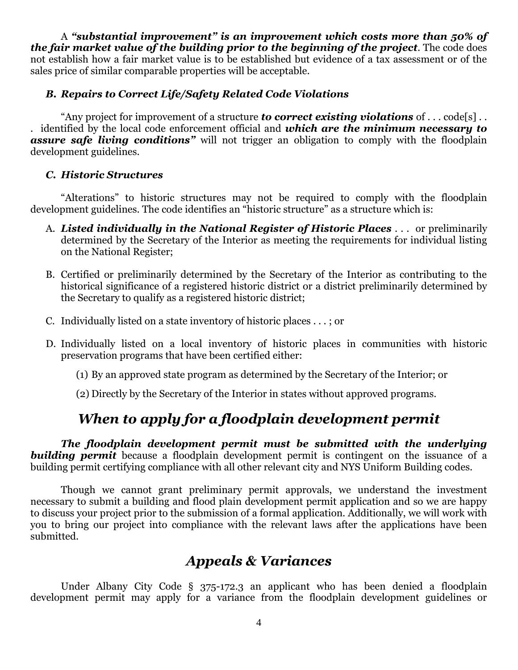A *"substantial improvement" is an improvement which costs more than 50% of the fair market value of the building prior to the beginning of the project*. The code does not establish how a fair market value is to be established but evidence of a tax assessment or of the sales price of similar comparable properties will be acceptable.

#### *B. Repairs to Correct Life/Safety Related Code Violations*

"Any project for improvement of a structure *to correct existing violations* of . . . code[s] . . . identified by the local code enforcement official and *which are the minimum necessary to assure safe living conditions"* will not trigger an obligation to comply with the floodplain development guidelines.

#### *C. Historic Structures*

"Alterations" to historic structures may not be required to comply with the floodplain development guidelines. The code identifies an "historic structure" as a structure which is:

- A. *Listed individually in the National Register of Historic Places* . . . or preliminarily determined by the Secretary of the Interior as meeting the requirements for individual listing on the National Register;
- B. Certified or preliminarily determined by the Secretary of the Interior as contributing to the historical significance of a registered historic district or a district preliminarily determined by the Secretary to qualify as a registered historic district;
- C. Individually listed on a state inventory of historic places . . . ; or
- D. Individually listed on a local inventory of historic places in communities with historic preservation programs that have been certified either:
	- (1) By an approved state program as determined by the Secretary of the Interior; or
	- (2) Directly by the Secretary of the Interior in states without approved programs.

## *When to apply for a floodplain development permit*

*The floodplain development permit must be submitted with the underlying*  **building permit** because a floodplain development permit is contingent on the issuance of a building permit certifying compliance with all other relevant city and NYS Uniform Building codes.

Though we cannot grant preliminary permit approvals, we understand the investment necessary to submit a building and flood plain development permit application and so we are happy to discuss your project prior to the submission of a formal application. Additionally, we will work with you to bring our project into compliance with the relevant laws after the applications have been submitted.

## *Appeals & Variances*

Under Albany City Code § 375-172.3 an applicant who has been denied a floodplain development permit may apply for a variance from the floodplain development guidelines or